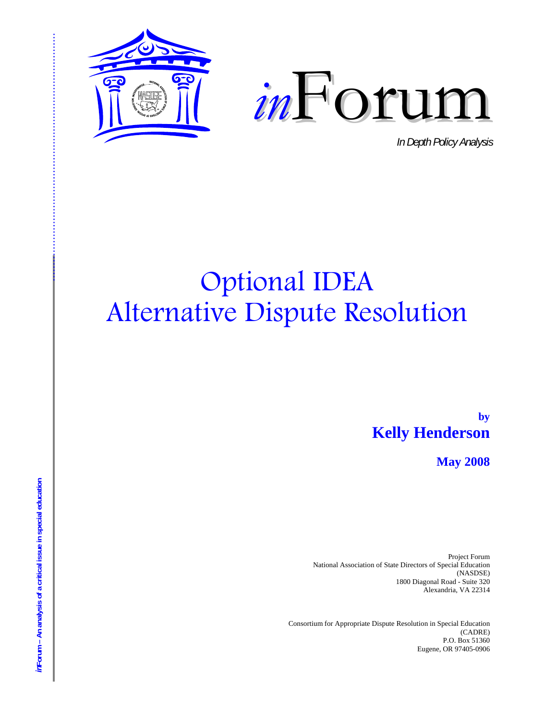



In Depth Policy Analysis

# **Optional IDEA Alternative Dispute Resolution**

by **Kelly Henderson** 

**May 2008** 

Project Forum National Association of State Directors of Special Education (NASDSE) 1800 Diagonal Road - Suite 320 Alexandria, VA 22314

Consortium for Appropriate Dispute Resolution in Special Education (CADRE) P.O. Box 51360 Eugene, OR 97405-0906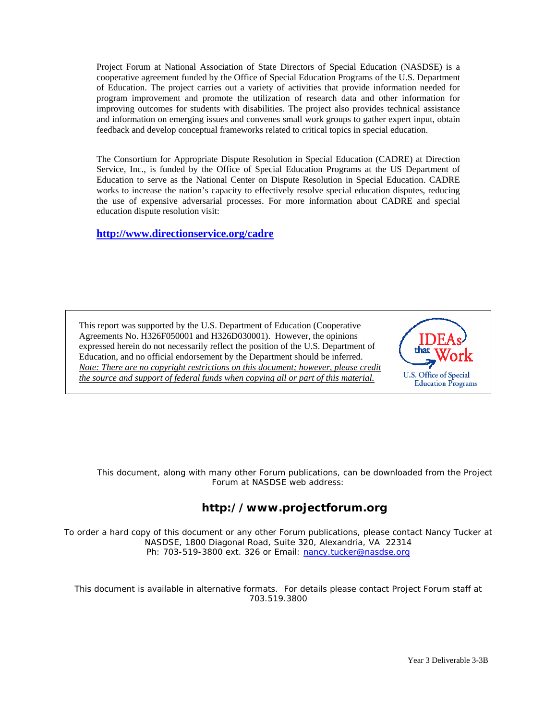Project Forum at National Association of State Directors of Special Education (NASDSE) is a cooperative agreement funded by the Office of Special Education Programs of the U.S. Department of Education. The project carries out a variety o f activities that provide information needed for program improvement and promote the utilizat ion of research data and other information for improving outcomes for students with disabilities. The project also provides technical assistance and information on emerging issues and convenes small work groups to gather expert input, obtain feedback and develop conceptual frameworks related to critical topics in special education.

The Consortium for Appropriate Dispute Resolution in Special Education (CADRE) at Direction Service, Inc., is funded by the Office of Special Education Programs at the US Department of Education to serve as the National Center on Dispute Resolution in Special Education. CADRE works to increase the nation's capacity to effectively resolve special education disputes, reducing the use of expensive adversarial processes. For more information about CADRE and special education dispute resolution visit:

**http://www.directionservice.org/cadre**

This report was supported by the U.S. Department of Education (Cooperative Agreements No. H326F050001 and H326D030001). However, the opinions expressed herein do not necessarily reflect the position of the U.S. Department of Education, and no official endorsement by the Department should be inferred. *Note: There are no copyright restrictions on this document; however, please credit the source and support of federal funds when copying all or part of this material.*



This document, along with many other Forum publications, can be downloaded from the Project Forum at NASDSE web address:

#### **http://www.projectforum.org**

To order a hard copy of this document or any other Forum publications, please contact Nancy Tucker at NASDSE, 1800 Diagonal Road, Suite 320, Alexandria, VA 22314 Ph: 703-519-3800 ext. 326 or Email: nancy.tucker@nasdse.org

This document is available in alternative formats. For details please contact Project Forum staff at 703.519.3800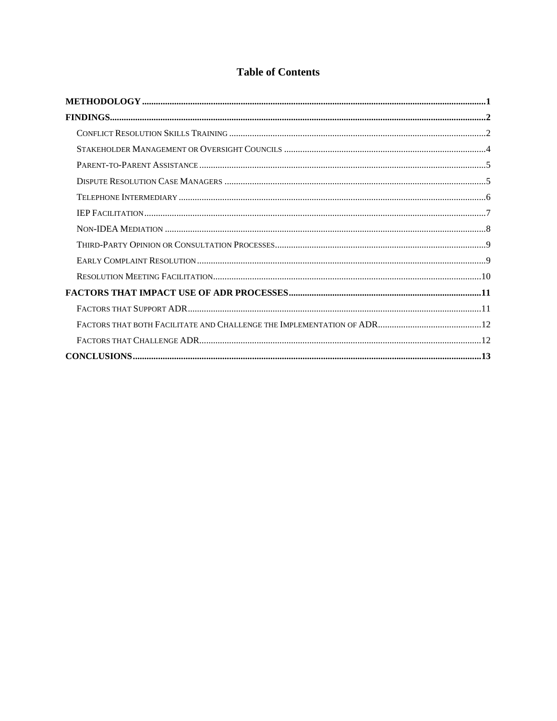#### **Table of Contents**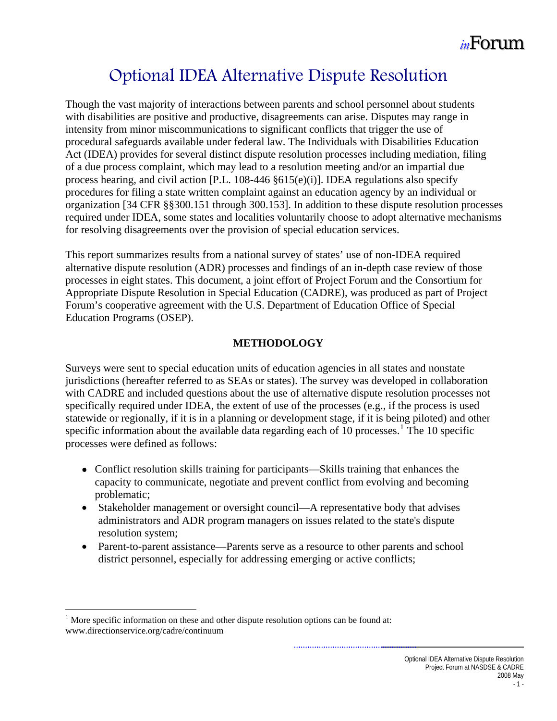### Optional IDEA Alternative Dispute Resolution

<span id="page-4-0"></span>Though the vast majority of interactions between parents and school personnel about students with disabilities are positive and productive, disagreements can arise. Disputes may range in intensity from minor miscommunications to significant conflicts that trigger the use of procedural safeguards available under federal law. The Individuals with Disabilities Education Act (IDEA) provides for several distinct dispute resolution processes including mediation, filing of a due process complaint, which may lead to a resolution meeting and/or an impartial due process hearing, and civil action [P.L. 108-446 §615(e)(i)]. IDEA regulations also specify procedures for filing a state written complaint against an education agency by an individual or organization [34 CFR §§300.151 through 300.153]. In addition to these dispute resolution processes required under IDEA, some states and localities voluntarily choose to adopt alternative mechanisms for resolving disagreements over the provision of special education services.

This report summarizes results from a national survey of states' use of non-IDEA required alternative dispute resolution (ADR) processes and findings of an in-depth case review of those processes in eight states. This document, a joint effort of Project Forum and the Consortium for Appropriate Dispute Resolution in Special Education (CADRE), was produced as part of Project Forum's cooperative agreement with the U.S. Department of Education Office of Special Education Programs (OSEP).

#### **METHODOLOGY**

Surveys were sent to special education units of education agencies in all states and nonstate jurisdictions (hereafter referred to as SEAs or states). The survey was developed in collaboration with CADRE and included questions about the use of alternative dispute resolution processes not specifically required under IDEA, the extent of use of the processes (e.g., if the process is used statewide or regionally, if it is in a planning or development stage, if it is being piloted) and other specific information about the available data regarding each of [1](#page-4-1)0 processes.<sup>1</sup> The 10 specific processes were defined as follows:

- Conflict resolution skills training for participants—Skills training that enhances the capacity to communicate, negotiate and prevent conflict from evolving and becoming problematic;
- Stakeholder management or oversight council—A representative body that advises administrators and ADR program managers on issues related to the state's dispute resolution system;
- Parent-to-parent assistance—Parents serve as a resource to other parents and school district personnel, especially for addressing emerging or active conflicts;

 $\overline{a}$ 

<span id="page-4-1"></span> $1$  More specific information on these and other dispute resolution options can be found at: www.directionservice.org/cadre/continuum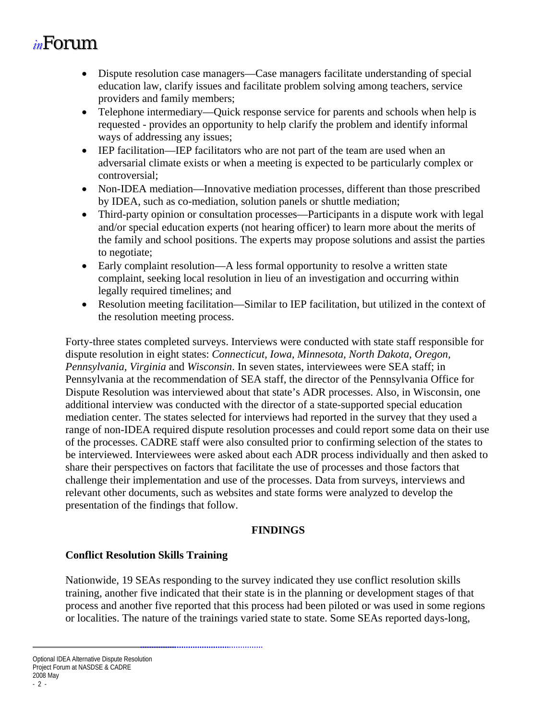- <span id="page-5-0"></span>• Dispute resolution case managers—Case managers facilitate understanding of special education law, clarify issues and facilitate problem solving among teachers, service providers and family members;
- Telephone intermediary—Quick response service for parents and schools when help is requested - provides an opportunity to help clarify the problem and identify informal ways of addressing any issues;
- IEP facilitation—IEP facilitators who are not part of the team are used when an adversarial climate exists or when a meeting is expected to be particularly complex or controversial;
- Non-IDEA mediation—Innovative mediation processes, different than those prescribed by IDEA, such as co-mediation, solution panels or shuttle mediation;
- Third-party opinion or consultation processes—Participants in a dispute work with legal and/or special education experts (not hearing officer) to learn more about the merits of the family and school positions. The experts may propose solutions and assist the parties to negotiate;
- Early complaint resolution—A less formal opportunity to resolve a written state complaint, seeking local resolution in lieu of an investigation and occurring within legally required timelines; and
- Resolution meeting facilitation—Similar to IEP facilitation, but utilized in the context of the resolution meeting process.

Forty-three states completed surveys. Interviews were conducted with state staff responsible for dispute resolution in eight states: *Connecticut, Iowa, Minnesota, North Dakota, Oregon, Pennsylvania, Virginia* and *Wisconsin*. In seven states, interviewees were SEA staff; in Pennsylvania at the recommendation of SEA staff, the director of the Pennsylvania Office for Dispute Resolution was interviewed about that state's ADR processes. Also, in Wisconsin, one additional interview was conducted with the director of a state-supported special education mediation center. The states selected for interviews had reported in the survey that they used a range of non-IDEA required dispute resolution processes and could report some data on their use of the processes. CADRE staff were also consulted prior to confirming selection of the states to be interviewed. Interviewees were asked about each ADR process individually and then asked to share their perspectives on factors that facilitate the use of processes and those factors that challenge their implementation and use of the processes. Data from surveys, interviews and relevant other documents, such as websites and state forms were analyzed to develop the presentation of the findings that follow.

#### **FINDINGS**

#### **Conflict Resolution Skills Training**

Nationwide, 19 SEAs responding to the survey indicated they use conflict resolution skills training, another five indicated that their state is in the planning or development stages of that process and another five reported that this process had been piloted or was used in some regions or localities. The nature of the trainings varied state to state. Some SEAs reported days-long,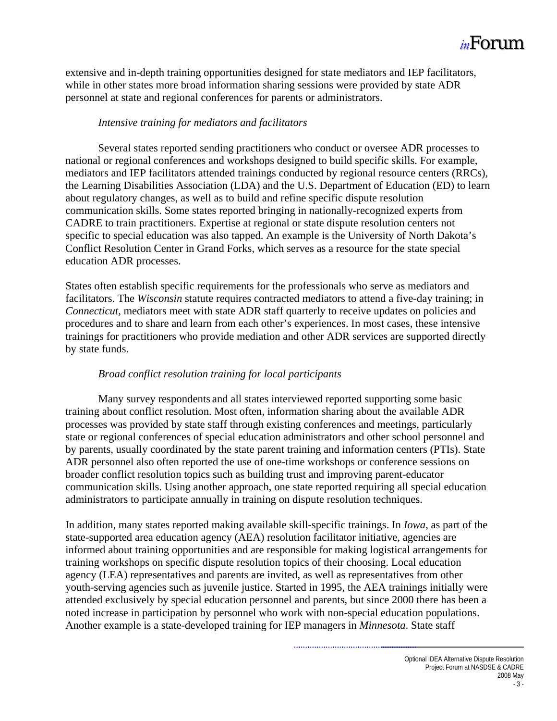

extensive and in-depth training opportunities designed for state mediators and IEP facilitators, while in other states more broad information sharing sessions were provided by state ADR personnel at state and regional conferences for parents or administrators.

#### *Intensive training for mediators and facilitators*

 Several states reported sending practitioners who conduct or oversee ADR processes to national or regional conferences and workshops designed to build specific skills. For example, mediators and IEP facilitators attended trainings conducted by regional resource centers (RRCs), the Learning Disabilities Association (LDA) and the U.S. Department of Education (ED) to learn about regulatory changes, as well as to build and refine specific dispute resolution communication skills. Some states reported bringing in nationally-recognized experts from CADRE to train practitioners. Expertise at regional or state dispute resolution centers not specific to special education was also tapped. An example is the University of North Dakota's Conflict Resolution Center in Grand Forks, which serves as a resource for the state special education ADR processes.

States often establish specific requirements for the professionals who serve as mediators and facilitators. The *Wisconsin* statute requires contracted mediators to attend a five-day training; in *Connecticut,* mediators meet with state ADR staff quarterly to receive updates on policies and procedures and to share and learn from each other's experiences. In most cases, these intensive trainings for practitioners who provide mediation and other ADR services are supported directly by state funds.

#### *Broad conflict resolution training for local participants*

 Many survey respondents and all states interviewed reported supporting some basic training about conflict resolution. Most often, information sharing about the available ADR processes was provided by state staff through existing conferences and meetings, particularly state or regional conferences of special education administrators and other school personnel and by parents, usually coordinated by the state parent training and information centers (PTIs). State ADR personnel also often reported the use of one-time workshops or conference sessions on broader conflict resolution topics such as building trust and improving parent-educator communication skills. Using another approach, one state reported requiring all special education administrators to participate annually in training on dispute resolution techniques.

In addition, many states reported making available skill-specific trainings. In *Iowa*, as part of the state-supported area education agency (AEA) resolution facilitator initiative, agencies are informed about training opportunities and are responsible for making logistical arrangements for training workshops on specific dispute resolution topics of their choosing. Local education agency (LEA) representatives and parents are invited, as well as representatives from other youth-serving agencies such as juvenile justice. Started in 1995, the AEA trainings initially were attended exclusively by special education personnel and parents, but since 2000 there has been a noted increase in participation by personnel who work with non-special education populations. Another example is a state-developed training for IEP managers in *Minnesota*. State staff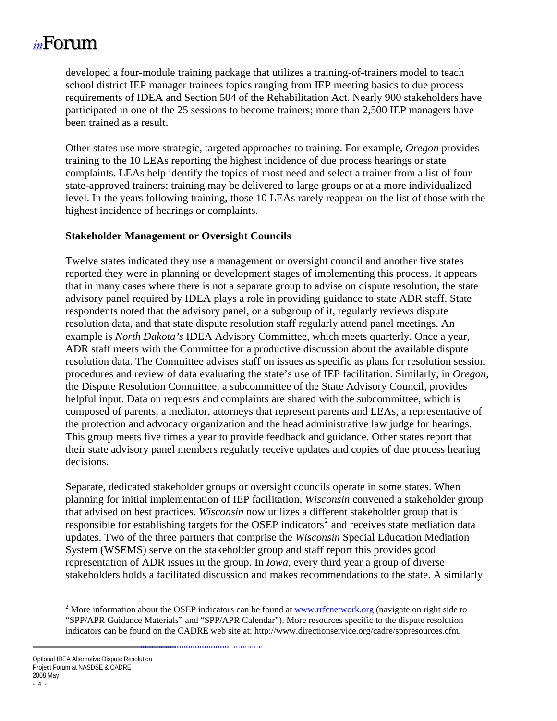<span id="page-7-0"></span>developed a four-module training package that utilizes a training-of-trainers model to teach school district IEP manager trainees topics ranging from IEP meeting basics to due process requirements of IDEA and Section 504 of the Rehabilitation Act. Nearly 900 stakeholders have participated in one of the 25 sessions to become trainers; more than 2,500 IEP managers have been trained as a result.

Other states use more strategic, targeted approaches to training. For example, *Oregon* provides training to the 10 LEAs reporting the highest incidence of due process hearings or state complaints. LEAs help identify the topics of most need and select a trainer from a list of four state-approved trainers; training may be delivered to large groups or at a more individualized level. In the years following training, those 10 LEAs rarely reappear on the list of those with the highest incidence of hearings or complaints.

#### **Stakeholder Management or Oversight Councils**

Twelve states indicated they use a management or oversight council and another five states reported they were in planning or development stages of implementing this process. It appears that in many cases where there is not a separate group to advise on dispute resolution, the state advisory panel required by IDEA plays a role in providing guidance to state ADR staff. State respondents noted that the advisory panel, or a subgroup of it, regularly reviews dispute resolution data, and that state dispute resolution staff regularly attend panel meetings. An example is *North Dakota's* IDEA Advisory Committee, which meets quarterly. Once a year, ADR staff meets with the Committee for a productive discussion about the available dispute resolution data. The Committee advises staff on issues as specific as plans for resolution session procedures and review of data evaluating the state's use of IEP facilitation. Similarly, in *Oregon,* the Dispute Resolution Committee, a subcommittee of the State Advisory Council, provides helpful input. Data on requests and complaints are shared with the subcommittee, which is composed of parents, a mediator, attorneys that represent parents and LEAs, a representative of the protection and advocacy organization and the head administrative law judge for hearings. This group meets five times a year to provide feedback and guidance. Other states report that their state advisory panel members regularly receive updates and copies of due process hearing decisions.

Separate, dedicated stakeholder groups or oversight councils operate in some states. When planning for initial implementation of IEP facilitation, *Wisconsin* convened a stakeholder group that advised on best practices. *Wisconsin* now utilizes a different stakeholder group that is responsible for establishing targets for the OSEP indicators<sup>[2](#page-7-1)</sup> and receives state mediation data updates. Two of the three partners that comprise the *Wisconsin* Special Education Mediation System (WSEMS) serve on the stakeholder group and staff report this provides good representation of ADR issues in the group. In *Iowa*, every third year a group of diverse stakeholders holds a facilitated discussion and makes recommendations to the state. A similarly

<sup>&</sup>lt;sup>2</sup> More information about the OSEP indicators can be found at <u>[www.rrfcnetwork.org](http://www.rrfcnetwork.org/)</u> (navigate on right side to "SPP/APR Guidance Materials" and "SPP/APR Calendar"). More resources specific to the dispute resolution indicators can be found on the CADRE web site at: http://www.directionservice.org/cadre/sppresources.cfm.

<span id="page-7-1"></span>Optional IDEA Alternative Dispute Resolution Project Forum at NASDSE & CADRE 2008 May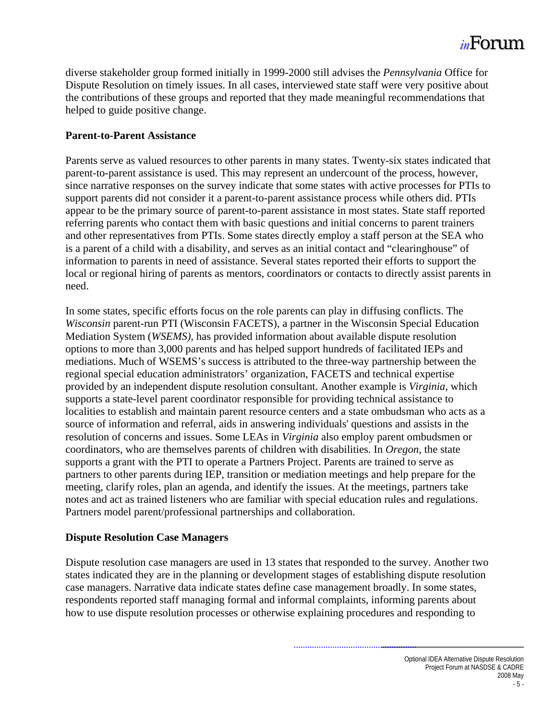<span id="page-8-0"></span>diverse stakeholder group formed initially in 1999-2000 still advises the *Pennsylvania* Office for Dispute Resolution on timely issues. In all cases, interviewed state staff were very positive about the contributions of these groups and reported that they made meaningful recommendations that helped to guide positive change.

#### **Parent-to-Parent Assistance**

Parents serve as valued resources to other parents in many states. Twenty-six states indicated that parent-to-parent assistance is used. This may represent an undercount of the process, however, since narrative responses on the survey indicate that some states with active processes for PTIs to support parents did not consider it a parent-to-parent assistance process while others did. PTIs appear to be the primary source of parent-to-parent assistance in most states. State staff reported referring parents who contact them with basic questions and initial concerns to parent trainers and other representatives from PTIs. Some states directly employ a staff person at the SEA who is a parent of a child with a disability, and serves as an initial contact and "clearinghouse" of information to parents in need of assistance. Several states reported their efforts to support the local or regional hiring of parents as mentors, coordinators or contacts to directly assist parents in need.

In some states, specific efforts focus on the role parents can play in diffusing conflicts. The *Wisconsin* parent-run PTI (Wisconsin FACETS), a partner in the Wisconsin Special Education Mediation System (*WSEMS),* has provided information about available dispute resolution options to more than 3,000 parents and has helped support hundreds of facilitated IEPs and mediations. Much of WSEMS's success is attributed to the three-way partnership between the regional special education administrators' organization, FACETS and technical expertise provided by an independent dispute resolution consultant. Another example is *Virginia*, which supports a state-level parent coordinator responsible for providing technical assistance to localities to establish and maintain parent resource centers and a state ombudsman who acts as a source of information and referral, aids in answering individuals' questions and assists in the resolution of concerns and issues. Some LEAs in *Virginia* also employ parent ombudsmen or coordinators, who are themselves parents of children with disabilities. In *Oregon*, the state supports a grant with the PTI to operate a Partners Project. Parents are trained to serve as partners to other parents during IEP, transition or mediation meetings and help prepare for the meeting, clarify roles, plan an agenda, and identify the issues. At the meetings, partners take notes and act as trained listeners who are familiar with special education rules and regulations. Partners model parent/professional partnerships and collaboration.

#### **Dispute Resolution Case Managers**

Dispute resolution case managers are used in 13 states that responded to the survey. Another two states indicated they are in the planning or development stages of establishing dispute resolution case managers. Narrative data indicate states define case management broadly. In some states, respondents reported staff managing formal and informal complaints, informing parents about how to use dispute resolution processes or otherwise explaining procedures and responding to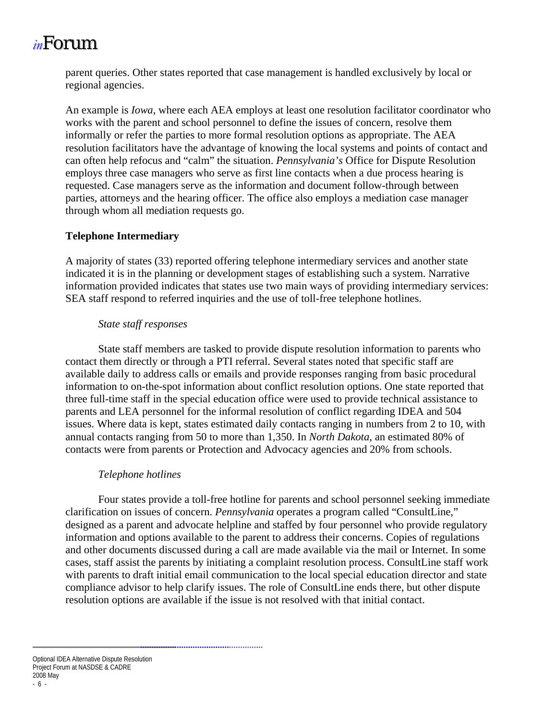<span id="page-9-0"></span>parent queries. Other states reported that case management is handled exclusively by local or regional agencies.

An example is *Iowa*, where each AEA employs at least one resolution facilitator coordinator who works with the parent and school personnel to define the issues of concern, resolve them informally or refer the parties to more formal resolution options as appropriate. The AEA resolution facilitators have the advantage of knowing the local systems and points of contact and can often help refocus and "calm" the situation. *Pennsylvania's* Office for Dispute Resolution employs three case managers who serve as first line contacts when a due process hearing is requested. Case managers serve as the information and document follow-through between parties, attorneys and the hearing officer. The office also employs a mediation case manager through whom all mediation requests go.

#### **Telephone Intermediary**

A majority of states (33) reported offering telephone intermediary services and another state indicated it is in the planning or development stages of establishing such a system. Narrative information provided indicates that states use two main ways of providing intermediary services: SEA staff respond to referred inquiries and the use of toll-free telephone hotlines.

#### *State staff responses*

 State staff members are tasked to provide dispute resolution information to parents who contact them directly or through a PTI referral. Several states noted that specific staff are available daily to address calls or emails and provide responses ranging from basic procedural information to on-the-spot information about conflict resolution options. One state reported that three full-time staff in the special education office were used to provide technical assistance to parents and LEA personnel for the informal resolution of conflict regarding IDEA and 504 issues. Where data is kept, states estimated daily contacts ranging in numbers from 2 to 10, with annual contacts ranging from 50 to more than 1,350. In *North Dakota*, an estimated 80% of contacts were from parents or Protection and Advocacy agencies and 20% from schools.

#### *Telephone hotlines*

 Four states provide a toll-free hotline for parents and school personnel seeking immediate clarification on issues of concern. *Pennsylvania* operates a program called "ConsultLine," designed as a parent and advocate helpline and staffed by four personnel who provide regulatory information and options available to the parent to address their concerns. Copies of regulations and other documents discussed during a call are made available via the mail or Internet. In some cases, staff assist the parents by initiating a complaint resolution process. ConsultLine staff work with parents to draft initial email communication to the local special education director and state compliance advisor to help clarify issues. The role of ConsultLine ends there, but other dispute resolution options are available if the issue is not resolved with that initial contact.

Optional IDEA Alternative Dispute Resolution Project Forum at NASDSE & CADRE 2008 May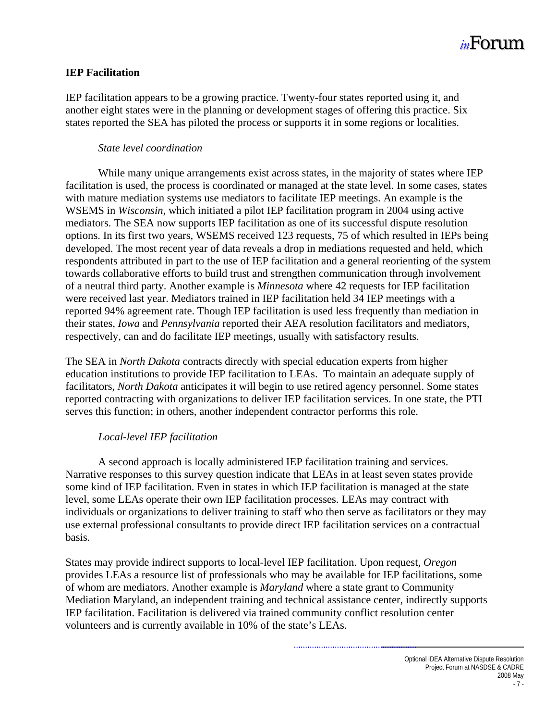

#### <span id="page-10-0"></span>**IEP Facilitation**

IEP facilitation appears to be a growing practice. Twenty-four states reported using it, and another eight states were in the planning or development stages of offering this practice. Six states reported the SEA has piloted the process or supports it in some regions or localities.

#### *State level coordination*

While many unique arrangements exist across states, in the majority of states where IEP facilitation is used, the process is coordinated or managed at the state level. In some cases, states with mature mediation systems use mediators to facilitate IEP meetings. An example is the WSEMS in *Wisconsin,* which initiated a pilot IEP facilitation program in 2004 using active mediators. The SEA now supports IEP facilitation as one of its successful dispute resolution options. In its first two years, WSEMS received 123 requests, 75 of which resulted in IEPs being developed. The most recent year of data reveals a drop in mediations requested and held, which respondents attributed in part to the use of IEP facilitation and a general reorienting of the system towards collaborative efforts to build trust and strengthen communication through involvement of a neutral third party. Another example is *Minnesota* where 42 requests for IEP facilitation were received last year. Mediators trained in IEP facilitation held 34 IEP meetings with a reported 94% agreement rate. Though IEP facilitation is used less frequently than mediation in their states, *Iowa* and *Pennsylvania* reported their AEA resolution facilitators and mediators, respectively, can and do facilitate IEP meetings, usually with satisfactory results.

The SEA in *North Dakota* contracts directly with special education experts from higher education institutions to provide IEP facilitation to LEAs. To maintain an adequate supply of facilitators, *North Dakota* anticipates it will begin to use retired agency personnel. Some states reported contracting with organizations to deliver IEP facilitation services. In one state, the PTI serves this function; in others, another independent contractor performs this role.

#### *Local-level IEP facilitation*

 A second approach is locally administered IEP facilitation training and services. Narrative responses to this survey question indicate that LEAs in at least seven states provide some kind of IEP facilitation. Even in states in which IEP facilitation is managed at the state level, some LEAs operate their own IEP facilitation processes. LEAs may contract with individuals or organizations to deliver training to staff who then serve as facilitators or they may use external professional consultants to provide direct IEP facilitation services on a contractual basis.

States may provide indirect supports to local-level IEP facilitation. Upon request, *Oregon* provides LEAs a resource list of professionals who may be available for IEP facilitations, some of whom are mediators. Another example is *Maryland* where a state grant to Community Mediation Maryland, an independent training and technical assistance center, indirectly supports IEP facilitation. Facilitation is delivered via trained community conflict resolution center volunteers and is currently available in 10% of the state's LEAs.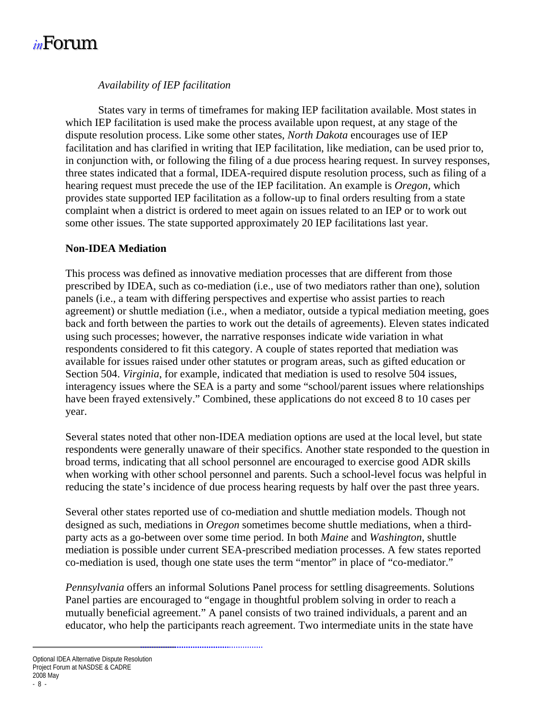#### *Availability of IEP facilitation*

<span id="page-11-0"></span>States vary in terms of timeframes for making IEP facilitation available. Most states in which IEP facilitation is used make the process available upon request, at any stage of the dispute resolution process. Like some other states, *North Dakota* encourages use of IEP facilitation and has clarified in writing that IEP facilitation, like mediation, can be used prior to, in conjunction with, or following the filing of a due process hearing request. In survey responses, three states indicated that a formal, IDEA-required dispute resolution process, such as filing of a hearing request must precede the use of the IEP facilitation. An example is *Oregon,* which provides state supported IEP facilitation as a follow-up to final orders resulting from a state complaint when a district is ordered to meet again on issues related to an IEP or to work out some other issues. The state supported approximately 20 IEP facilitations last year.

#### **Non-IDEA Mediation**

This process was defined as innovative mediation processes that are different from those prescribed by IDEA, such as co-mediation (i.e., use of two mediators rather than one), solution panels (i.e., a team with differing perspectives and expertise who assist parties to reach agreement) or shuttle mediation (i.e., when a mediator, outside a typical mediation meeting, goes back and forth between the parties to work out the details of agreements). Eleven states indicated using such processes; however, the narrative responses indicate wide variation in what respondents considered to fit this category. A couple of states reported that mediation was available for issues raised under other statutes or program areas, such as gifted education or Section 504. *Virginia*, for example, indicated that mediation is used to resolve 504 issues, interagency issues where the SEA is a party and some "school/parent issues where relationships have been frayed extensively." Combined, these applications do not exceed 8 to 10 cases per year.

Several states noted that other non-IDEA mediation options are used at the local level, but state respondents were generally unaware of their specifics. Another state responded to the question in broad terms, indicating that all school personnel are encouraged to exercise good ADR skills when working with other school personnel and parents. Such a school-level focus was helpful in reducing the state's incidence of due process hearing requests by half over the past three years.

Several other states reported use of co-mediation and shuttle mediation models. Though not designed as such, mediations in *Oregon* sometimes become shuttle mediations, when a thirdparty acts as a go-between over some time period. In both *Maine* and *Washington*, shuttle mediation is possible under current SEA-prescribed mediation processes. A few states reported co-mediation is used, though one state uses the term "mentor" in place of "co-mediator."

*Pennsylvania* offers an informal Solutions Panel process for settling disagreements. Solutions Panel parties are encouraged to "engage in thoughtful problem solving in order to reach a mutually beneficial agreement." A panel consists of two trained individuals, a parent and an educator, who help the participants reach agreement. Two intermediate units in the state have

Optional IDEA Alternative Dispute Resolution Project Forum at NASDSE & CADRE 2008 May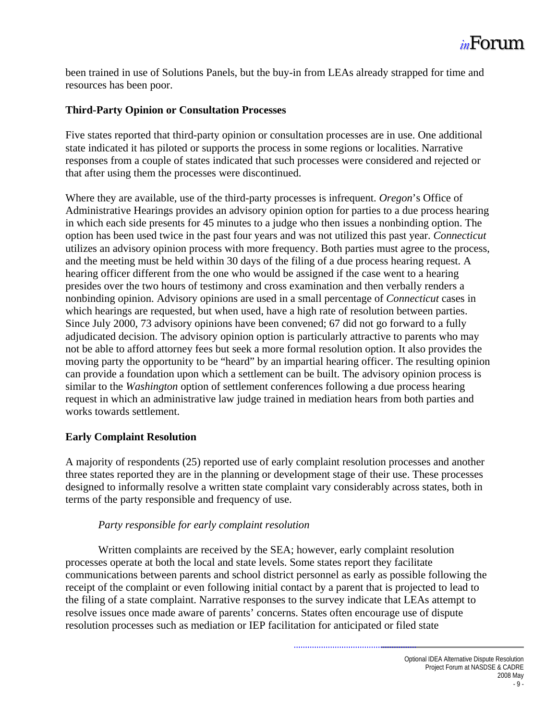

<span id="page-12-0"></span>been trained in use of Solutions Panels, but the buy-in from LEAs already strapped for time and resources has been poor.

#### **Third-Party Opinion or Consultation Processes**

Five states reported that third-party opinion or consultation processes are in use. One additional state indicated it has piloted or supports the process in some regions or localities. Narrative responses from a couple of states indicated that such processes were considered and rejected or that after using them the processes were discontinued.

Where they are available, use of the third-party processes is infrequent. *Oregon*'s Office of Administrative Hearings provides an advisory opinion option for parties to a due process hearing in which each side presents for 45 minutes to a judge who then issues a nonbinding option. The option has been used twice in the past four years and was not utilized this past year. *Connecticut* utilizes an advisory opinion process with more frequency. Both parties must agree to the process, and the meeting must be held within 30 days of the filing of a due process hearing request. A hearing officer different from the one who would be assigned if the case went to a hearing presides over the two hours of testimony and cross examination and then verbally renders a nonbinding opinion. Advisory opinions are used in a small percentage of *Connecticut* cases in which hearings are requested, but when used, have a high rate of resolution between parties. Since July 2000, 73 advisory opinions have been convened; 67 did not go forward to a fully adjudicated decision. The advisory opinion option is particularly attractive to parents who may not be able to afford attorney fees but seek a more formal resolution option. It also provides the moving party the opportunity to be "heard" by an impartial hearing officer. The resulting opinion can provide a foundation upon which a settlement can be built. The advisory opinion process is similar to the *Washington* option of settlement conferences following a due process hearing request in which an administrative law judge trained in mediation hears from both parties and works towards settlement.

#### **Early Complaint Resolution**

A majority of respondents (25) reported use of early complaint resolution processes and another three states reported they are in the planning or development stage of their use. These processes designed to informally resolve a written state complaint vary considerably across states, both in terms of the party responsible and frequency of use.

#### *Party responsible for early complaint resolution*

 Written complaints are received by the SEA; however, early complaint resolution processes operate at both the local and state levels. Some states report they facilitate communications between parents and school district personnel as early as possible following the receipt of the complaint or even following initial contact by a parent that is projected to lead to the filing of a state complaint. Narrative responses to the survey indicate that LEAs attempt to resolve issues once made aware of parents' concerns. States often encourage use of dispute resolution processes such as mediation or IEP facilitation for anticipated or filed state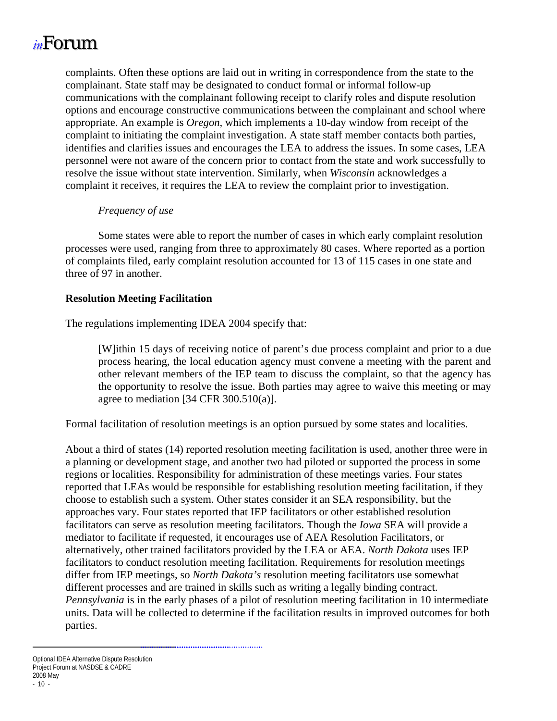<span id="page-13-0"></span>complaints. Often these options are laid out in writing in correspondence from the state to the complainant. State staff may be designated to conduct formal or informal follow-up communications with the complainant following receipt to clarify roles and dispute resolution options and encourage constructive communications between the complainant and school where appropriate. An example is *Oregon,* which implements a 10-day window from receipt of the complaint to initiating the complaint investigation. A state staff member contacts both parties, identifies and clarifies issues and encourages the LEA to address the issues. In some cases, LEA personnel were not aware of the concern prior to contact from the state and work successfully to resolve the issue without state intervention. Similarly, when *Wisconsin* acknowledges a complaint it receives, it requires the LEA to review the complaint prior to investigation.

#### *Frequency of use*

 Some states were able to report the number of cases in which early complaint resolution processes were used, ranging from three to approximately 80 cases. Where reported as a portion of complaints filed, early complaint resolution accounted for 13 of 115 cases in one state and three of 97 in another.

#### **Resolution Meeting Facilitation**

The regulations implementing IDEA 2004 specify that:

[W]ithin 15 days of receiving notice of parent's due process complaint and prior to a due process hearing, the local education agency must convene a meeting with the parent and other relevant members of the IEP team to discuss the complaint, so that the agency has the opportunity to resolve the issue. Both parties may agree to waive this meeting or may agree to mediation [34 CFR 300.510(a)].

Formal facilitation of resolution meetings is an option pursued by some states and localities.

About a third of states (14) reported resolution meeting facilitation is used, another three were in a planning or development stage, and another two had piloted or supported the process in some regions or localities. Responsibility for administration of these meetings varies. Four states reported that LEAs would be responsible for establishing resolution meeting facilitation, if they choose to establish such a system. Other states consider it an SEA responsibility, but the approaches vary. Four states reported that IEP facilitators or other established resolution facilitators can serve as resolution meeting facilitators. Though the *Iowa* SEA will provide a mediator to facilitate if requested, it encourages use of AEA Resolution Facilitators, or alternatively, other trained facilitators provided by the LEA or AEA. *North Dakota* uses IEP facilitators to conduct resolution meeting facilitation. Requirements for resolution meetings differ from IEP meetings, so *North Dakota's* resolution meeting facilitators use somewhat different processes and are trained in skills such as writing a legally binding contract. *Pennsylvania* is in the early phases of a pilot of resolution meeting facilitation in 10 intermediate units. Data will be collected to determine if the facilitation results in improved outcomes for both parties.

Optional IDEA Alternative Dispute Resolution Project Forum at NASDSE & CADRE 2008 May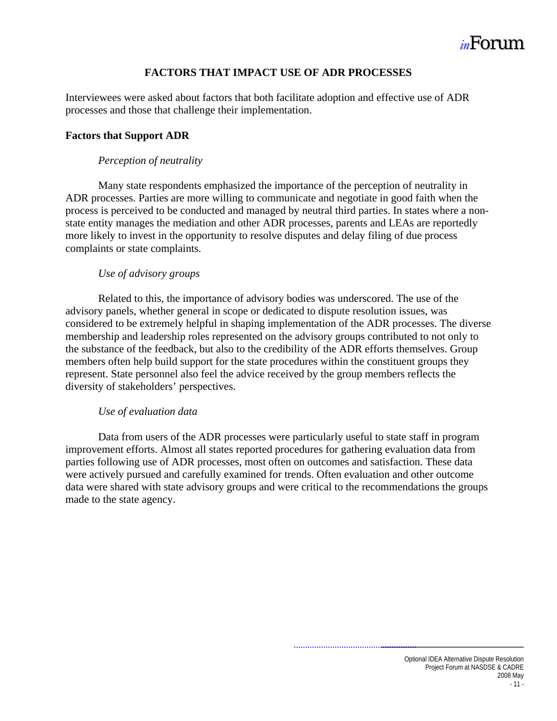

#### **FACTORS THAT IMPACT USE OF ADR PROCESSES**

<span id="page-14-0"></span>Interviewees were asked about factors that both facilitate adoption and effective use of ADR processes and those that challenge their implementation.

#### **Factors that Support ADR**

#### *Perception of neutrality*

 Many state respondents emphasized the importance of the perception of neutrality in ADR processes. Parties are more willing to communicate and negotiate in good faith when the process is perceived to be conducted and managed by neutral third parties. In states where a nonstate entity manages the mediation and other ADR processes, parents and LEAs are reportedly more likely to invest in the opportunity to resolve disputes and delay filing of due process complaints or state complaints.

#### *Use of advisory groups*

 Related to this, the importance of advisory bodies was underscored. The use of the advisory panels, whether general in scope or dedicated to dispute resolution issues, was considered to be extremely helpful in shaping implementation of the ADR processes. The diverse membership and leadership roles represented on the advisory groups contributed to not only to the substance of the feedback, but also to the credibility of the ADR efforts themselves. Group members often help build support for the state procedures within the constituent groups they represent. State personnel also feel the advice received by the group members reflects the diversity of stakeholders' perspectives.

#### *Use of evaluation data*

 Data from users of the ADR processes were particularly useful to state staff in program improvement efforts. Almost all states reported procedures for gathering evaluation data from parties following use of ADR processes, most often on outcomes and satisfaction. These data were actively pursued and carefully examined for trends. Often evaluation and other outcome data were shared with state advisory groups and were critical to the recommendations the groups made to the state agency.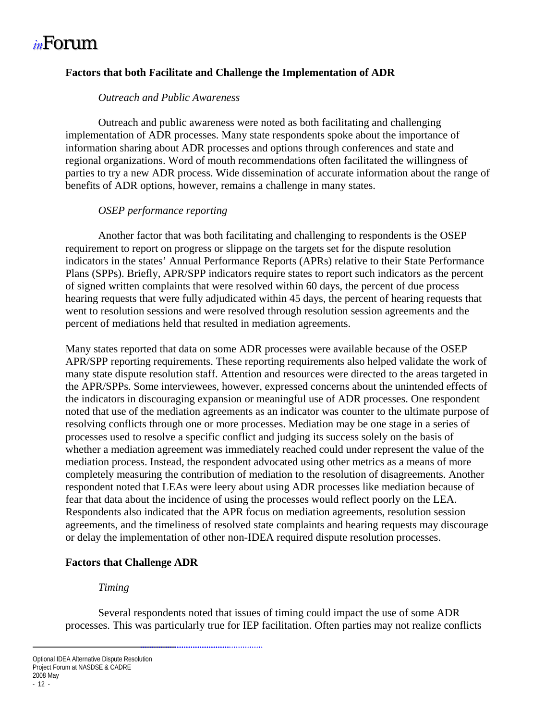#### <span id="page-15-0"></span>**Factors that both Facilitate and Challenge the Implementation of ADR**

#### *Outreach and Public Awareness*

 Outreach and public awareness were noted as both facilitating and challenging implementation of ADR processes. Many state respondents spoke about the importance of information sharing about ADR processes and options through conferences and state and regional organizations. Word of mouth recommendations often facilitated the willingness of parties to try a new ADR process. Wide dissemination of accurate information about the range of benefits of ADR options, however, remains a challenge in many states.

#### *OSEP performance reporting*

 Another factor that was both facilitating and challenging to respondents is the OSEP requirement to report on progress or slippage on the targets set for the dispute resolution indicators in the states' Annual Performance Reports (APRs) relative to their State Performance Plans (SPPs). Briefly, APR/SPP indicators require states to report such indicators as the percent of signed written complaints that were resolved within 60 days, the percent of due process hearing requests that were fully adjudicated within 45 days, the percent of hearing requests that went to resolution sessions and were resolved through resolution session agreements and the percent of mediations held that resulted in mediation agreements.

Many states reported that data on some ADR processes were available because of the OSEP APR/SPP reporting requirements. These reporting requirements also helped validate the work of many state dispute resolution staff. Attention and resources were directed to the areas targeted in the APR/SPPs. Some interviewees, however, expressed concerns about the unintended effects of the indicators in discouraging expansion or meaningful use of ADR processes. One respondent noted that use of the mediation agreements as an indicator was counter to the ultimate purpose of resolving conflicts through one or more processes. Mediation may be one stage in a series of processes used to resolve a specific conflict and judging its success solely on the basis of whether a mediation agreement was immediately reached could under represent the value of the mediation process. Instead, the respondent advocated using other metrics as a means of more completely measuring the contribution of mediation to the resolution of disagreements. Another respondent noted that LEAs were leery about using ADR processes like mediation because of fear that data about the incidence of using the processes would reflect poorly on the LEA. Respondents also indicated that the APR focus on mediation agreements, resolution session agreements, and the timeliness of resolved state complaints and hearing requests may discourage or delay the implementation of other non-IDEA required dispute resolution processes.

#### **Factors that Challenge ADR**

#### *Timing*

 Several respondents noted that issues of timing could impact the use of some ADR processes. This was particularly true for IEP facilitation. Often parties may not realize conflicts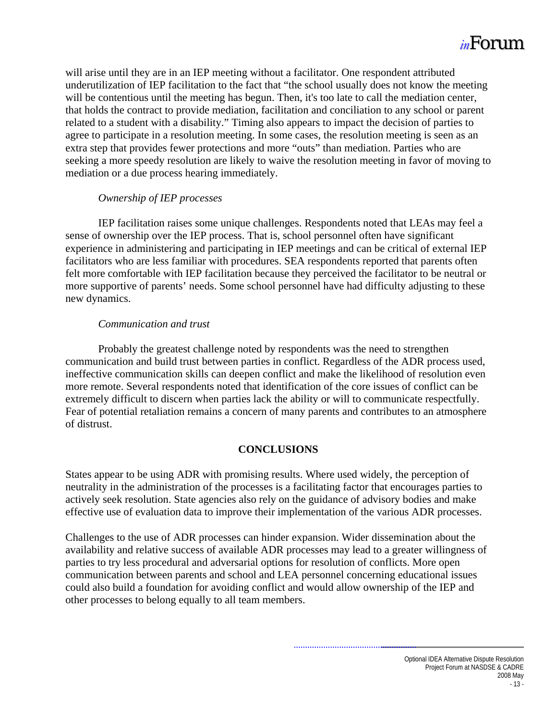<span id="page-16-0"></span>will arise until they are in an IEP meeting without a facilitator. One respondent attributed underutilization of IEP facilitation to the fact that "the school usually does not know the meeting will be contentious until the meeting has begun. Then, it's too late to call the mediation center, that holds the contract to provide mediation, facilitation and conciliation to any school or parent related to a student with a disability." Timing also appears to impact the decision of parties to agree to participate in a resolution meeting. In some cases, the resolution meeting is seen as an extra step that provides fewer protections and more "outs" than mediation. Parties who are seeking a more speedy resolution are likely to waive the resolution meeting in favor of moving to mediation or a due process hearing immediately.

#### *Ownership of IEP processes*

 IEP facilitation raises some unique challenges. Respondents noted that LEAs may feel a sense of ownership over the IEP process. That is, school personnel often have significant experience in administering and participating in IEP meetings and can be critical of external IEP facilitators who are less familiar with procedures. SEA respondents reported that parents often felt more comfortable with IEP facilitation because they perceived the facilitator to be neutral or more supportive of parents' needs. Some school personnel have had difficulty adjusting to these new dynamics.

#### *Communication and trust*

 Probably the greatest challenge noted by respondents was the need to strengthen communication and build trust between parties in conflict. Regardless of the ADR process used, ineffective communication skills can deepen conflict and make the likelihood of resolution even more remote. Several respondents noted that identification of the core issues of conflict can be extremely difficult to discern when parties lack the ability or will to communicate respectfully. Fear of potential retaliation remains a concern of many parents and contributes to an atmosphere of distrust.

#### **CONCLUSIONS**

States appear to be using ADR with promising results. Where used widely, the perception of neutrality in the administration of the processes is a facilitating factor that encourages parties to actively seek resolution. State agencies also rely on the guidance of advisory bodies and make effective use of evaluation data to improve their implementation of the various ADR processes.

Challenges to the use of ADR processes can hinder expansion. Wider dissemination about the availability and relative success of available ADR processes may lead to a greater willingness of parties to try less procedural and adversarial options for resolution of conflicts. More open communication between parents and school and LEA personnel concerning educational issues could also build a foundation for avoiding conflict and would allow ownership of the IEP and other processes to belong equally to all team members.